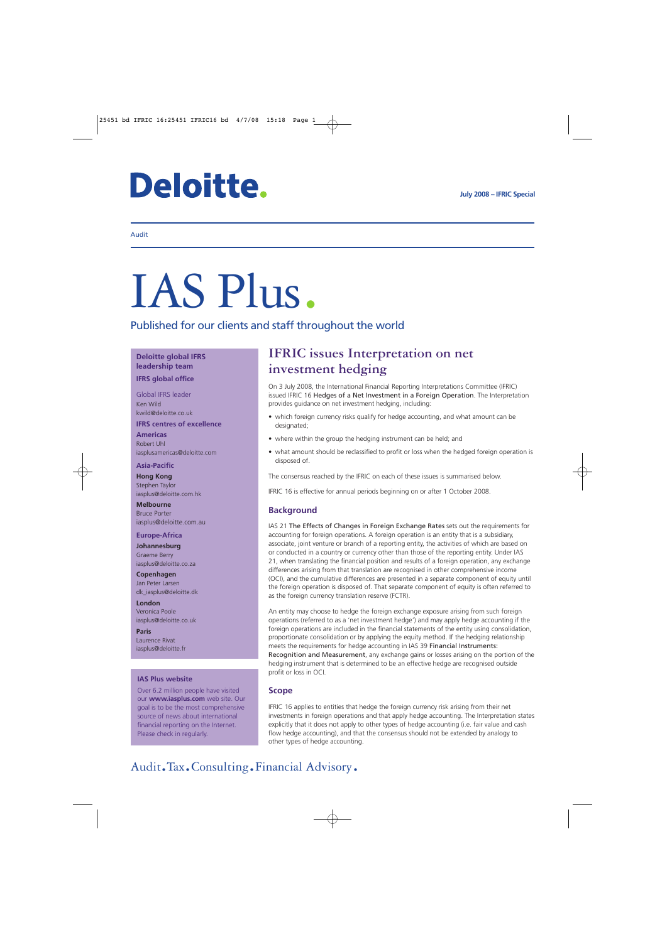# **Deloitte.**

#### Audit

# IAS Plus.

Published for our clients and staff throughout the world

#### **Deloitte global IFRS leadership team**

**IFRS global office**

Global IFRS leader Ken Wild kwild@deloitte.co.uk

**IFRS centres of excellence**

#### **Americas** Robert Uhl iasplusamericas@deloitte.com

#### **Asia-Pacific**

**Hong Kong** Stephen Taylor iasplus@deloitte.com.hk

**Melbourne** Bruce Porter iasplus@deloitte.com.au

#### **Europe-Africa**

**Johannesburg** Graeme Berry iasplus@deloitte.co.za

**Copenhagen** Jan Peter Larsen dk\_iasplus@deloitte.dk

**London** Veronica Poole iasplus@deloitte.co.uk

**Paris** Laurence Rivat iasplus@deloitte.fr

#### **IAS Plus website**

Over 6.2 million people have visited our **www.iasplus.com** web site. Our goal is to be the most comprehensive source of news about international financial reporting on the Internet. Please check in regularly.

### **IFRIC issues Interpretation on net investment hedging**

On 3 July 2008, the International Financial Reporting Interpretations Committee (IFRIC) issued IFRIC 16 Hedges of a Net Investment in a Foreign Operation. The Interpretation provides guidance on net investment hedging, including:

- which foreign currency risks qualify for hedge accounting, and what amount can be designated;
- where within the group the hedging instrument can be held; and
- what amount should be reclassified to profit or loss when the hedged foreign operation is disposed of.

The consensus reached by the IFRIC on each of these issues is summarised below.

IFRIC 16 is effective for annual periods beginning on or after 1 October 2008.

#### **Background**

IAS 21 The Effects of Changes in Foreign Exchange Rates sets out the requirements for accounting for foreign operations. A foreign operation is an entity that is a subsidiary, associate, joint venture or branch of a reporting entity, the activities of which are based on or conducted in a country or currency other than those of the reporting entity. Under IAS 21, when translating the financial position and results of a foreign operation, any exchange differences arising from that translation are recognised in other comprehensive income (OCI), and the cumulative differences are presented in a separate component of equity until the foreign operation is disposed of. That separate component of equity is often referred to as the foreign currency translation reserve (FCTR).

An entity may choose to hedge the foreign exchange exposure arising from such foreign operations (referred to as a 'net investment hedge') and may apply hedge accounting if the foreign operations are included in the financial statements of the entity using consolidation, proportionate consolidation or by applying the equity method. If the hedging relationship meets the requirements for hedge accounting in IAS 39 Financial Instruments: Recognition and Measurement, any exchange gains or losses arising on the portion of the hedging instrument that is determined to be an effective hedge are recognised outside profit or loss in OCI.

#### **Scope**

IFRIC 16 applies to entities that hedge the foreign currency risk arising from their net investments in foreign operations and that apply hedge accounting. The Interpretation states explicitly that it does not apply to other types of hedge accounting (i.e. fair value and cash flow hedge accounting), and that the consensus should not be extended by analogy to other types of hedge accounting.

## Audit.Tax.Consulting.Financial Advisory.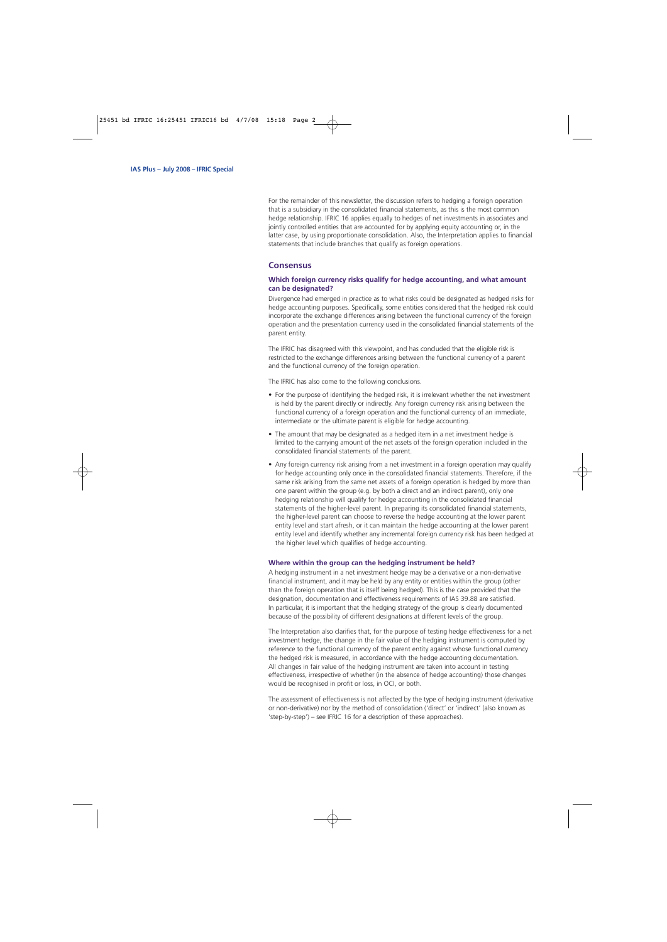For the remainder of this newsletter, the discussion refers to hedging a foreign operation that is a subsidiary in the consolidated financial statements, as this is the most common hedge relationship. IFRIC 16 applies equally to hedges of net investments in associates and jointly controlled entities that are accounted for by applying equity accounting or, in the latter case, by using proportionate consolidation. Also, the Interpretation applies to financial statements that include branches that qualify as foreign operations.

#### **Consensus**

#### **Which foreign currency risks qualify for hedge accounting, and what amount can be designated?**

Divergence had emerged in practice as to what risks could be designated as hedged risks for hedge accounting purposes. Specifically, some entities considered that the hedged risk could incorporate the exchange differences arising between the functional currency of the foreign operation and the presentation currency used in the consolidated financial statements of the parent entity.

The IFRIC has disagreed with this viewpoint, and has concluded that the eligible risk is restricted to the exchange differences arising between the functional currency of a parent and the functional currency of the foreign operation.

The IFRIC has also come to the following conclusions.

- For the purpose of identifying the hedged risk, it is irrelevant whether the net investment is held by the parent directly or indirectly. Any foreign currency risk arising between the functional currency of a foreign operation and the functional currency of an immediate, intermediate or the ultimate parent is eligible for hedge accounting.
- The amount that may be designated as a hedged item in a net investment hedge is limited to the carrying amount of the net assets of the foreign operation included in the consolidated financial statements of the parent.
- Any foreign currency risk arising from a net investment in a foreign operation may qualify for hedge accounting only once in the consolidated financial statements. Therefore, if the same risk arising from the same net assets of a foreign operation is hedged by more than one parent within the group (e.g. by both a direct and an indirect parent), only one hedging relationship will qualify for hedge accounting in the consolidated financial statements of the higher-level parent. In preparing its consolidated financial statements, the higher-level parent can choose to reverse the hedge accounting at the lower parent entity level and start afresh, or it can maintain the hedge accounting at the lower parent entity level and identify whether any incremental foreign currency risk has been hedged at the higher level which qualifies of hedge accounting.

#### **Where within the group can the hedging instrument be held?**

A hedging instrument in a net investment hedge may be a derivative or a non-derivative financial instrument, and it may be held by any entity or entities within the group (other than the foreign operation that is itself being hedged). This is the case provided that the designation, documentation and effectiveness requirements of IAS 39.88 are satisfied. In particular, it is important that the hedging strategy of the group is clearly documented because of the possibility of different designations at different levels of the group.

The Interpretation also clarifies that, for the purpose of testing hedge effectiveness for a net investment hedge, the change in the fair value of the hedging instrument is computed by reference to the functional currency of the parent entity against whose functional currency the hedged risk is measured, in accordance with the hedge accounting documentation. All changes in fair value of the hedging instrument are taken into account in testing effectiveness, irrespective of whether (in the absence of hedge accounting) those changes would be recognised in profit or loss, in OCI, or both.

The assessment of effectiveness is not affected by the type of hedging instrument (derivative or non-derivative) nor by the method of consolidation ('direct' or 'indirect' (also known as 'step-by-step') – see IFRIC 16 for a description of these approaches).